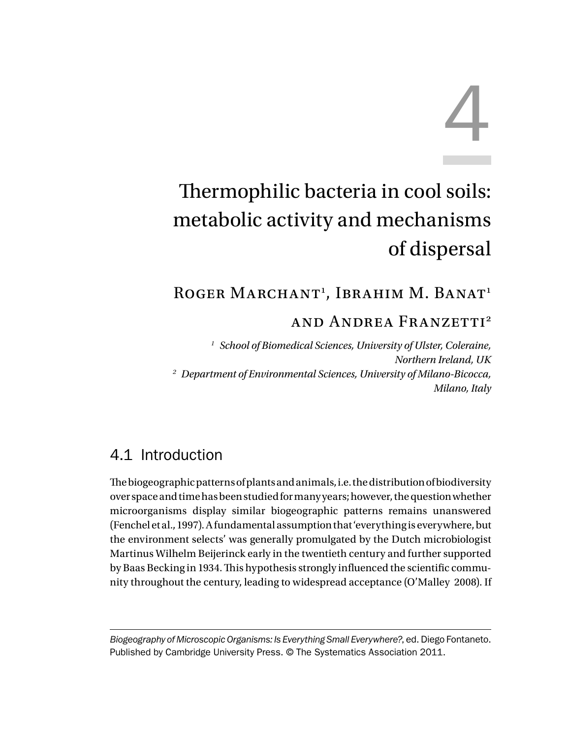# 4 Thermophilic bacteria in cool soils: metabolic activity and mechanisms of dispersal

### ROGER MARCHANT<sup>1</sup>, IBRAHIM M. BANAT<sup>1</sup>

#### and Andrea Franzetti<sup>2</sup>

*1 School of Biomedical Sciences, University of Ulster, Coleraine, Northern Ireland, UK 2 Department of Environmental Sciences, University of Milano-Bicocca, Milano, Italy* 

## 4.1 Introduction

The biogeographic patterns of plants and animals, i.e. the distribution of biodiversity over space and time has been studied for many years; however, the question whether microorganisms display similar biogeographic patterns remains unanswered (Fenchel et al., 1997 ). A fundamental assumption that 'everything is everywhere, but the environment selects' was generally promulgated by the Dutch microbiologist Martinus Wilhelm Beijerinck early in the twentieth century and further supported by Baas Becking in 1934. This hypothesis strongly influenced the scientific community throughout the century, leading to widespread acceptance (O'Malley 2008 ). If

Biogeography of Microscopic Organisms: Is Everything Small Everywhere?, ed. Diego Fontaneto. Published by Cambridge University Press. © The Systematics Association 2011.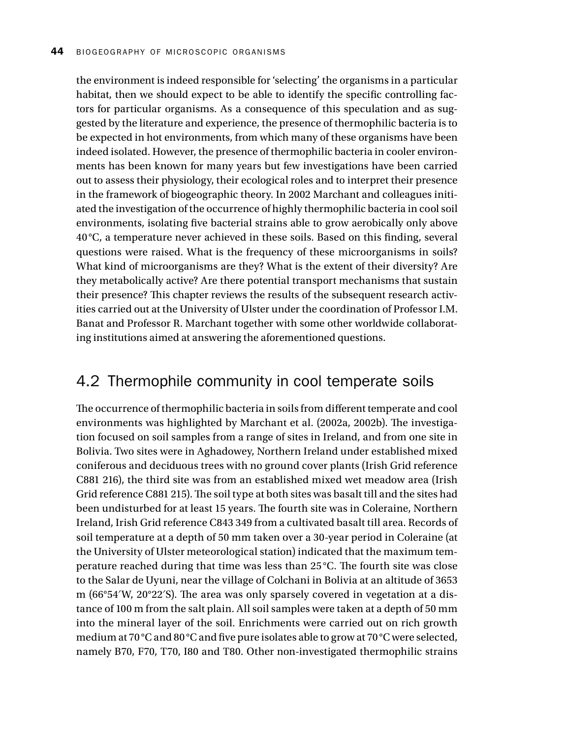the environment is indeed responsible for 'selecting' the organisms in a particular habitat, then we should expect to be able to identify the specific controlling factors for particular organisms. As a consequence of this speculation and as suggested by the literature and experience, the presence of thermophilic bacteria is to be expected in hot environments, from which many of these organisms have been indeed isolated. However, the presence of thermophilic bacteria in cooler environments has been known for many years but few investigations have been carried out to assess their physiology, their ecological roles and to interpret their presence in the framework of biogeographic theory. In 2002 Marchant and colleagues initiated the investigation of the occurrence of highly thermophilic bacteria in cool soil environments, isolating five bacterial strains able to grow aerobically only above  $40^{\circ}$ C, a temperature never achieved in these soils. Based on this finding, several questions were raised. What is the frequency of these microorganisms in soils? What kind of microorganisms are they? What is the extent of their diversity? Are they metabolically active? Are there potential transport mechanisms that sustain their presence? This chapter reviews the results of the subsequent research activities carried out at the University of Ulster under the coordination of Professor I.M. Banat and Professor R. Marchant together with some other worldwide collaborating institutions aimed at answering the aforementioned questions.

#### 4.2 Thermophile community in cool temperate soils

The occurrence of thermophilic bacteria in soils from different temperate and cool environments was highlighted by Marchant et al. (2002a, 2002b). The investigation focused on soil samples from a range of sites in Ireland, and from one site in Bolivia. Two sites were in Aghadowey, Northern Ireland under established mixed coniferous and deciduous trees with no ground cover plants (Irish Grid reference C881 216), the third site was from an established mixed wet meadow area (Irish Grid reference C881 215). The soil type at both sites was basalt till and the sites had been undisturbed for at least 15 years. The fourth site was in Coleraine, Northern Ireland, Irish Grid reference C843 349 from a cultivated basalt till area. Records of soil temperature at a depth of 50 mm taken over a 30-year period in Coleraine (at the University of Ulster meteorological station) indicated that the maximum temperature reached during that time was less than  $25^{\circ}$ C. The fourth site was close to the Salar de Uyuni, near the village of Colchani in Bolivia at an altitude of 3653 m ( $66^{\circ}54'$ W,  $20^{\circ}22'$ S). The area was only sparsely covered in vegetation at a distance of 100 m from the salt plain. All soil samples were taken at a depth of 50 mm into the mineral layer of the soil. Enrichments were carried out on rich growth medium at 70 °C and 80 °C and five pure isolates able to grow at 70 °C were selected, namely B70, F70, T70, I80 and T80. Other non-investigated thermophilic strains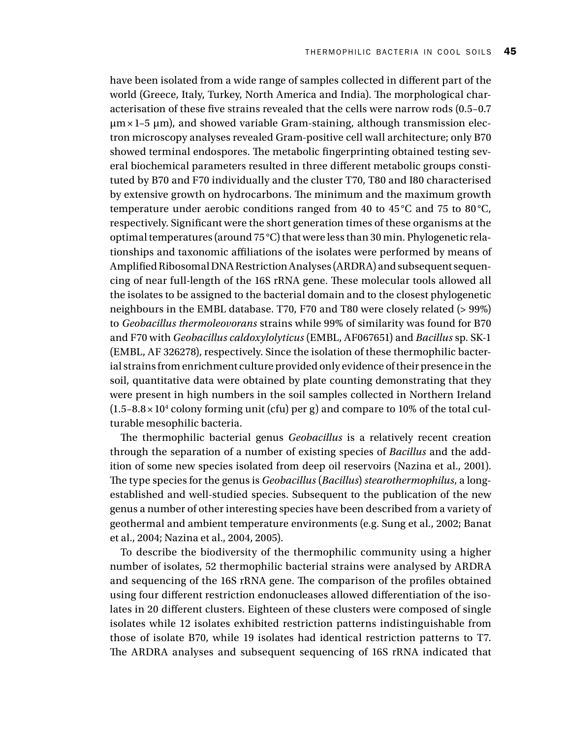have been isolated from a wide range of samples collected in different part of the world (Greece, Italy, Turkey, North America and India). The morphological characterisation of these five strains revealed that the cells were narrow rods (0.5-0.7)  $\mu$ m × 1–5  $\mu$ m), and showed variable Gram-staining, although transmission electron microscopy analyses revealed Gram-positive cell wall architecture; only B70 showed terminal endospores. The metabolic fingerprinting obtained testing several biochemical parameters resulted in three different metabolic groups constituted by B70 and F70 individually and the cluster T70, T80 and I80 characterised by extensive growth on hydrocarbons. The minimum and the maximum growth temperature under aerobic conditions ranged from 40 to 45 °C and 75 to 80 °C, respectively. Significant were the short generation times of these organisms at the optimal temperatures (around 75 °C) that were less than 30 min. Phylogenetic relationships and taxonomic affiliations of the isolates were performed by means of Amplified Ribosomal DNA Restriction Analyses (ARDRA) and subsequent sequencing of near full-length of the 16S rRNA gene. These molecular tools allowed all the isolates to be assigned to the bacterial domain and to the closest phylogenetic neighbours in the EMBL database. T70, F70 and T80 were closely related (> 99%) to *Geobacillus thermoleovorans* strains while 99% of similarity was found for B70 and F70 with *Geobacillus caldoxylolyticus* (EMBL, AF067651) and *Bacillus* sp. SK-1 (EMBL, AF 326278), respectively. Since the isolation of these thermophilic bacterial strains from enrichment culture provided only evidence of their presence in the soil, quantitative data were obtained by plate counting demonstrating that they were present in high numbers in the soil samples collected in Northern Ireland  $(1.5-8.8 \times 10^{4}$  colony forming unit (cfu) per g) and compare to 10% of the total culturable mesophilic bacteria.

The thermophilic bacterial genus *Geobacillus* is a relatively recent creation through the separation of a number of existing species of *Bacillus* and the addition of some new species isolated from deep oil reservoirs (Nazina et al., 2001). The type species for the genus is *Geobacillus* (*Bacillus*) *stearothermophilus*, a longestablished and well-studied species. Subsequent to the publication of the new genus a number of other interesting species have been described from a variety of geothermal and ambient temperature environments (e.g. Sung et al., 2002 ; Banat et al., 2004; Nazina et al., 2004, 2005).

 To describe the biodiversity of the thermophilic community using a higher number of isolates, 52 thermophilic bacterial strains were analysed by ARDRA and sequencing of the 16S rRNA gene. The comparison of the profiles obtained using four different restriction endonucleases allowed differentiation of the isolates in 20 different clusters. Eighteen of these clusters were composed of single isolates while 12 isolates exhibited restriction patterns indistinguishable from those of isolate B70, while 19 isolates had identical restriction patterns to T7. The ARDRA analyses and subsequent sequencing of 16S rRNA indicated that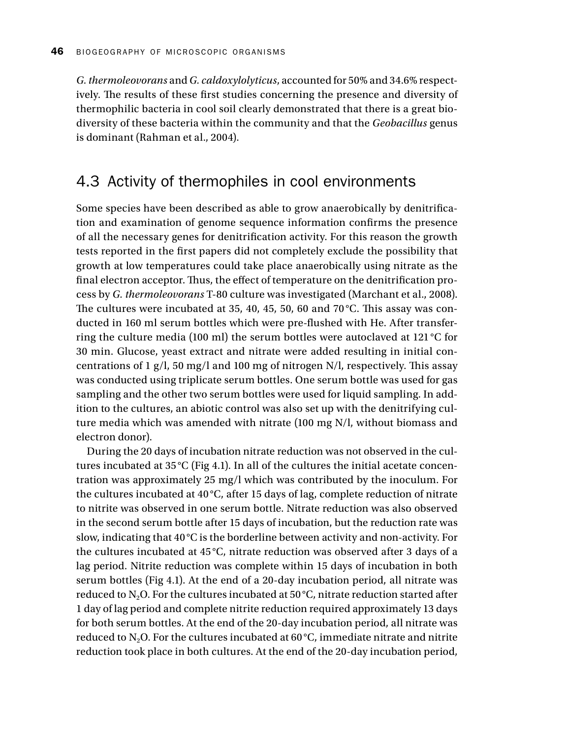*G. thermoleovorans* and *G. caldoxylolyticus* , accounted for 50% and 34.6% respectively. The results of these first studies concerning the presence and diversity of thermophilic bacteria in cool soil clearly demonstrated that there is a great biodiversity of these bacteria within the community and that the *Geobacillus* genus is dominant (Rahman et al., 2004).

#### 4.3 Activity of thermophiles in cool environments

Some species have been described as able to grow anaerobically by denitrification and examination of genome sequence information confirms the presence of all the necessary genes for denitrification activity. For this reason the growth tests reported in the first papers did not completely exclude the possibility that growth at low temperatures could take place anaerobically using nitrate as the final electron acceptor. Thus, the effect of temperature on the denitrification process by *G. thermoleovorans* T-80 culture was investigated (Marchant et al., 2008 ). The cultures were incubated at 35, 40, 45, 50, 60 and 70 $\degree$ C. This assay was conducted in 160 ml serum bottles which were pre-flushed with He. After transferring the culture media (100 ml) the serum bottles were autoclaved at 121 °C for 30 min. Glucose, yeast extract and nitrate were added resulting in initial concentrations of 1 g/l, 50 mg/l and 100 mg of nitrogen N/l, respectively. This assay was conducted using triplicate serum bottles. One serum bottle was used for gas sampling and the other two serum bottles were used for liquid sampling. In addition to the cultures, an abiotic control was also set up with the denitrifying culture media which was amended with nitrate (100 mg N/l, without biomass and electron donor).

 During the 20 days of incubation nitrate reduction was not observed in the cultures incubated at  $35^{\circ}$ C (Fig 4.1). In all of the cultures the initial acetate concentration was approximately 25 mg/l which was contributed by the inoculum. For the cultures incubated at 40 °C, after 15 days of lag, complete reduction of nitrate to nitrite was observed in one serum bottle. Nitrate reduction was also observed in the second serum bottle after 15 days of incubation, but the reduction rate was slow, indicating that  $40^{\circ}$ C is the borderline between activity and non-activity. For the cultures incubated at 45 °C, nitrate reduction was observed after 3 days of a lag period. Nitrite reduction was complete within 15 days of incubation in both serum bottles (Fig 4.1). At the end of a 20-day incubation period, all nitrate was reduced to N<sub>2</sub>O. For the cultures incubated at 50 °C, nitrate reduction started after 1 day of lag period and complete nitrite reduction required approximately 13 days for both serum bottles. At the end of the 20-day incubation period, all nitrate was reduced to N<sub>2</sub>O. For the cultures incubated at 60 °C, immediate nitrate and nitrite reduction took place in both cultures. At the end of the 20-day incubation period,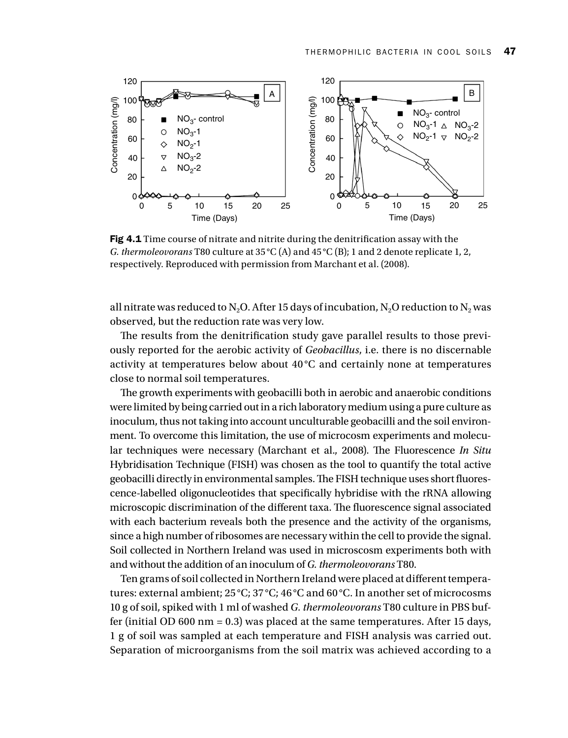

**Fig 4.1** Time course of nitrate and nitrite during the denitrification assay with the *G. thermoleovorans* T80 culture at 35 °C (A) and 45 °C (B); 1 and 2 denote replicate 1, 2, respectively. Reproduced with permission from Marchant et al. (2008).

all nitrate was reduced to  $N_2O$ . After 15 days of incubation,  $N_2O$  reduction to  $N_2$  was observed, but the reduction rate was very low.

The results from the denitrification study gave parallel results to those previously reported for the aerobic activity of *Geobacillus* , i.e. there is no discernable activity at temperatures below about  $40^{\circ}$ C and certainly none at temperatures close to normal soil temperatures.

The growth experiments with geobacilli both in aerobic and anaerobic conditions were limited by being carried out in a rich laboratory medium using a pure culture as inoculum, thus not taking into account unculturable geobacilli and the soil environment. To overcome this limitation, the use of microcosm experiments and molecular techniques were necessary (Marchant et al., 2008). The Fluorescence *In Situ* Hybridisation Technique (FISH) was chosen as the tool to quantify the total active geobacilli directly in environmental samples. The FISH technique uses short fluorescence-labelled oligonucleotides that specifically hybridise with the rRNA allowing microscopic discrimination of the different taxa. The fluorescence signal associated with each bacterium reveals both the presence and the activity of the organisms, since a high number of ribosomes are necessary within the cell to provide the signal. Soil collected in Northern Ireland was used in microscosm experiments both with and without the addition of an inoculum of *G. thermoleovorans* T80.

Ten grams of soil collected in Northern Ireland were placed at different temperatures: external ambient; 25 °C; 37 °C; 46 °C and 60 °C. In another set of microcosms 10 g of soil, spiked with 1 ml of washed *G. thermoleovorans* T80 culture in PBS buffer (initial OD 600 nm  $= 0.3$ ) was placed at the same temperatures. After 15 days, 1 g of soil was sampled at each temperature and FISH analysis was carried out. Separation of microorganisms from the soil matrix was achieved according to a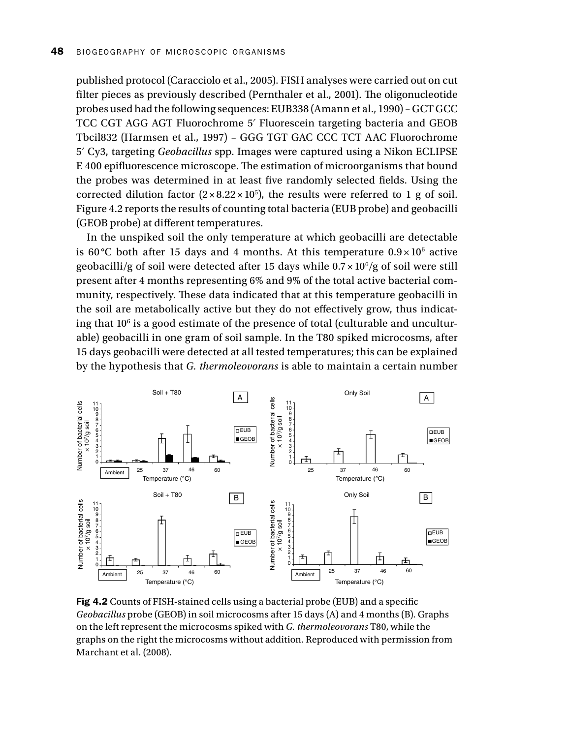published protocol (Caracciolo et al., 2005 ). FISH analyses were carried out on cut filter pieces as previously described (Pernthaler et al., 2001). The oligonucleotide probes used had the following sequences: EUB338 (Amann et al., 1990 ) – GCT GCC TCC CGT AGG AGT Fluorochrome 5′ Fluorescein targeting bacteria and GEOB Tbcil832 (Harmsen et al., 1997) – GGG TGT GAC CCC TCT AAC Fluorochrome 5′ Cy3, targeting *Geobacillus* spp. Images were captured using a Nikon ECLIPSE E 400 epifluorescence microscope. The estimation of microorganisms that bound the probes was determined in at least five randomly selected fields. Using the corrected dilution factor  $(2 \times 8.22 \times 10^5)$ , the results were referred to 1 g of soil. Figure 4.2 reports the results of counting total bacteria (EUB probe) and geobacilli (GEOB probe) at different temperatures.

 In the unspiked soil the only temperature at which geobacilli are detectable is 60 °C both after 15 days and 4 months. At this temperature  $0.9 \times 10^6$  active geobacilli/g of soil were detected after 15 days while  $0.7 \times 10^6$ /g of soil were still present after 4 months representing 6% and 9% of the total active bacterial community, respectively. These data indicated that at this temperature geobacilli in the soil are metabolically active but they do not effectively grow, thus indicating that  $10<sup>6</sup>$  is a good estimate of the presence of total (culturable and unculturable) geobacilli in one gram of soil sample. In the T80 spiked microcosms, after 15 days geobacilli were detected at all tested temperatures; this can be explained by the hypothesis that *G. thermoleovorans* is able to maintain a certain number



Fig 4.2 Counts of FISH-stained cells using a bacterial probe (EUB) and a specific *Geobacillus* probe (GEOB) in soil microcosms after 15 days (A) and 4 months (B). Graphs on the left represent the microcosms spiked with *G. thermoleovorans* T80, while the graphs on the right the microcosms without addition. Reproduced with permission from Marchant et al. (2008).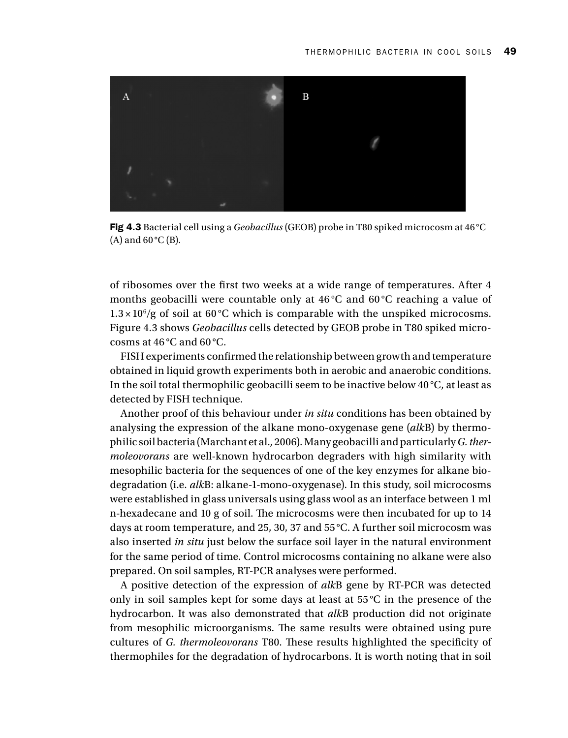

**Fig 4.3** Bacterial cell using a *Geobacillus* (GEOB) probe in T80 spiked microcosm at 46 °C  $(A)$  and  $60^{\circ}$ C $(B)$ .

of ribosomes over the first two weeks at a wide range of temperatures. After 4 months geobacilli were countable only at  $46^{\circ}$ C and  $60^{\circ}$ C reaching a value of  $1.3 \times 10^6$ /g of soil at 60 °C which is comparable with the unspiked microcosms. Figure 4.3 shows *Geobacillus* cells detected by GEOB probe in T80 spiked microcosms at  $46^{\circ}$ C and  $60^{\circ}$ C.

FISH experiments confirmed the relationship between growth and temperature obtained in liquid growth experiments both in aerobic and anaerobic conditions. In the soil total thermophilic geobacilli seem to be inactive below  $40^{\circ}$ C, at least as detected by FISH technique.

 Another proof of this behaviour under *in situ* conditions has been obtained by analysing the expression of the alkane mono-oxygenase gene ( *alk* B) by thermophilic soil bacteria (Marchant et al., 2006 ). Many geobacilli and particularly *G. thermoleovorans* are well-known hydrocarbon degraders with high similarity with mesophilic bacteria for the sequences of one of the key enzymes for alkane biodegradation (i.e. *alk* B: alkane-1-mono-oxygenase). In this study, soil microcosms were established in glass universals using glass wool as an interface between 1 ml n-hexadecane and 10 g of soil. The microcosms were then incubated for up to 14 days at room temperature, and 25, 30, 37 and 55 °C. A further soil microcosm was also inserted *in situ* just below the surface soil layer in the natural environment for the same period of time. Control microcosms containing no alkane were also prepared. On soil samples, RT-PCR analyses were performed.

A positive detection of the expression of alkB gene by RT-PCR was detected only in soil samples kept for some days at least at 55 °C in the presence of the hydrocarbon. It was also demonstrated that *alk* B production did not originate from mesophilic microorganisms. The same results were obtained using pure cultures of *G. thermoleovorans* T80. These results highlighted the specificity of thermophiles for the degradation of hydrocarbons. It is worth noting that in soil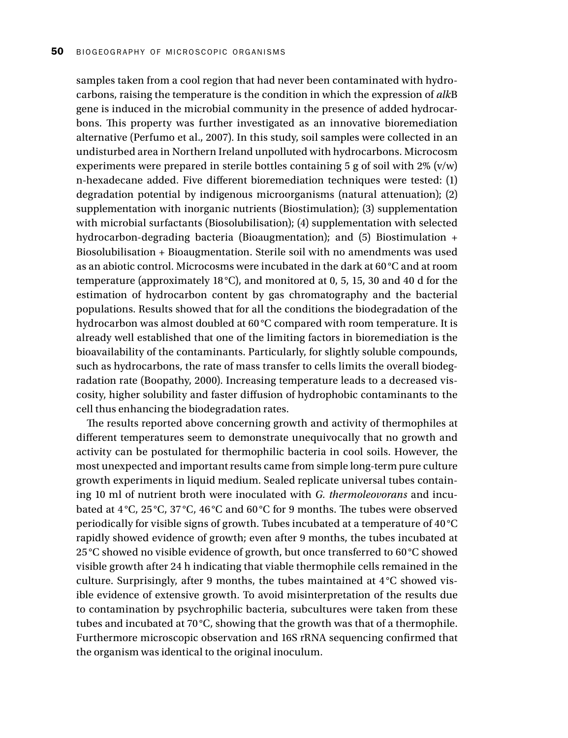samples taken from a cool region that had never been contaminated with hydrocarbons, raising the temperature is the condition in which the expression of *alk* B gene is induced in the microbial community in the presence of added hydrocarbons. This property was further investigated as an innovative bioremediation alternative (Perfumo et al., 2007 ). In this study, soil samples were collected in an undisturbed area in Northern Ireland unpolluted with hydrocarbons. Microcosm experiments were prepared in sterile bottles containing 5 g of soil with 2%  $(v/w)$ n-hexadecane added. Five different bioremediation techniques were tested: (1) degradation potential by indigenous microorganisms (natural attenuation); (2) supplementation with inorganic nutrients (Biostimulation); (3) supplementation with microbial surfactants (Biosolubilisation); (4) supplementation with selected hydrocarbon- degrading bacteria (Bioaugmentation); and (5) Biostimulation + Biosolubilisation + Bioaugmentation . Sterile soil with no amendments was used as an abiotic control. Microcosms were incubated in the dark at 60 °C and at room temperature (approximately 18 °C), and monitored at 0, 5, 15, 30 and 40 d for the estimation of hydrocarbon content by gas chromatography and the bacterial populations. Results showed that for all the conditions the biodegradation of the hydrocarbon was almost doubled at 60 °C compared with room temperature. It is already well established that one of the limiting factors in bioremediation is the bioavailability of the contaminants. Particularly, for slightly soluble compounds, such as hydrocarbons, the rate of mass transfer to cells limits the overall biodegradation rate (Boopathy, 2000). Increasing temperature leads to a decreased viscosity, higher solubility and faster diffusion of hydrophobic contaminants to the cell thus enhancing the biodegradation rates.

The results reported above concerning growth and activity of thermophiles at different temperatures seem to demonstrate unequivocally that no growth and activity can be postulated for thermophilic bacteria in cool soils. However, the most unexpected and important results came from simple long-term pure culture growth experiments in liquid medium. Sealed replicate universal tubes containing 10 ml of nutrient broth were inoculated with *G. thermoleovorans* and incubated at  $4^{\circ}$ C,  $25^{\circ}$ C,  $37^{\circ}$ C,  $46^{\circ}$ C and  $60^{\circ}$ C for 9 months. The tubes were observed periodically for visible signs of growth. Tubes incubated at a temperature of 40 °C rapidly showed evidence of growth; even after 9 months, the tubes incubated at 25 °C showed no visible evidence of growth, but once transferred to 60 °C showed visible growth after 24 h indicating that viable thermophile cells remained in the culture. Surprisingly, after 9 months, the tubes maintained at  $4^{\circ}$ C showed visible evidence of extensive growth. To avoid misinterpretation of the results due to contamination by psychrophilic bacteria , subcultures were taken from these tubes and incubated at 70 °C, showing that the growth was that of a thermophile. Furthermore microscopic observation and 16S rRNA sequencing confirmed that the organism was identical to the original inoculum.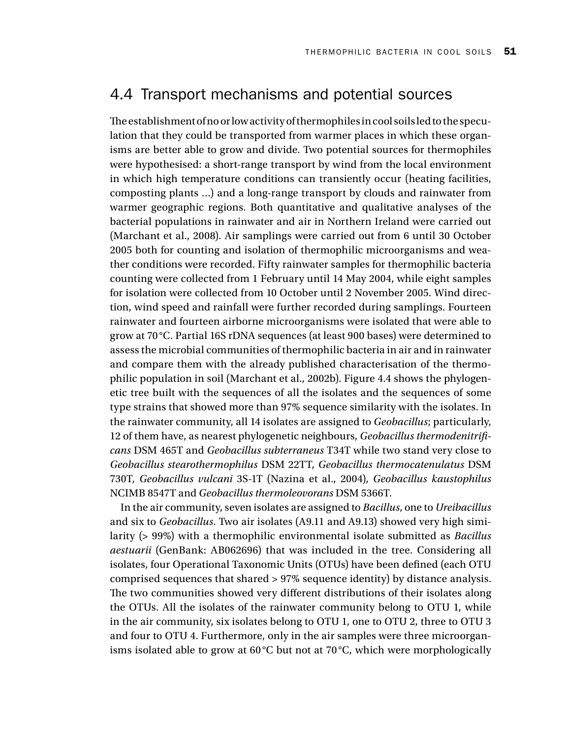#### 4.4 Transport mechanisms and potential sources

The establishment of no or low activity of thermophiles in cool soils led to the speculation that they could be transported from warmer places in which these organisms are better able to grow and divide. Two potential sources for thermophiles were hypothesised: a short-range transport by wind from the local environment in which high temperature conditions can transiently occur (heating facilities, composting plants …) and a long-range transport by clouds and rainwater from warmer geographic regions. Both quantitative and qualitative analyses of the bacterial populations in rainwater and air in Northern Ireland were carried out (Marchant et al., 2008). Air samplings were carried out from 6 until 30 October 2005 both for counting and isolation of thermophilic microorganisms and weather conditions were recorded. Fifty rainwater samples for thermophilic bacteria counting were collected from 1 February until 14 May 2004, while eight samples for isolation were collected from 10 October until 2 November 2005. Wind direction, wind speed and rainfall were further recorded during samplings. Fourteen rainwater and fourteen airborne microorganisms were isolated that were able to grow at 70 °C. Partial 16S rDNA sequences (at least 900 bases) were determined to assess the microbial communities of thermophilic bacteria in air and in rainwater and compare them with the already published characterisation of the thermophilic population in soil (Marchant et al., 2002b). Figure 4.4 shows the phylogenetic tree built with the sequences of all the isolates and the sequences of some type strains that showed more than 97% sequence similarity with the isolates. In the rainwater community, all 14 isolates are assigned to *Geobacillus* ; particularly, 12 of them have, as nearest phylogenetic neighbours, *Geobacillus thermodenitrifi cans* DSM 465T and *Geobacillus subterraneus* T34T while two stand very close to *Geobacillus stearothermophilus* DSM 22TT, *Geobacillus thermocatenulatus* DSM 730T, *Geobacillus vulcani* 3S-1T (Nazina et al., 2004 ), *Geobacillus kaustophilus* NCIMB 8547T and *Geobacillus thermoleovorans* DSM 5366T.

 In the air community, seven isolates are assigned to *Bacillus* , one to *Ureibacillus*  and six to *Geobacillus*. Two air isolates (A9.11 and A9.13) showed very high similarity (> 99%) with a thermophilic environmental isolate submitted as *Bacillus aestuarii* (GenBank: AB062696) that was included in the tree. Considering all isolates, four Operational Taxonomic Units (OTUs) have been defined (each OTU comprised sequences that shared > 97% sequence identity) by distance analysis. The two communities showed very different distributions of their isolates along the OTUs. All the isolates of the rainwater community belong to OTU 1, while in the air community, six isolates belong to OTU 1, one to OTU 2, three to OTU 3 and four to OTU 4. Furthermore, only in the air samples were three microorganisms isolated able to grow at 60 °C but not at 70 °C, which were morphologically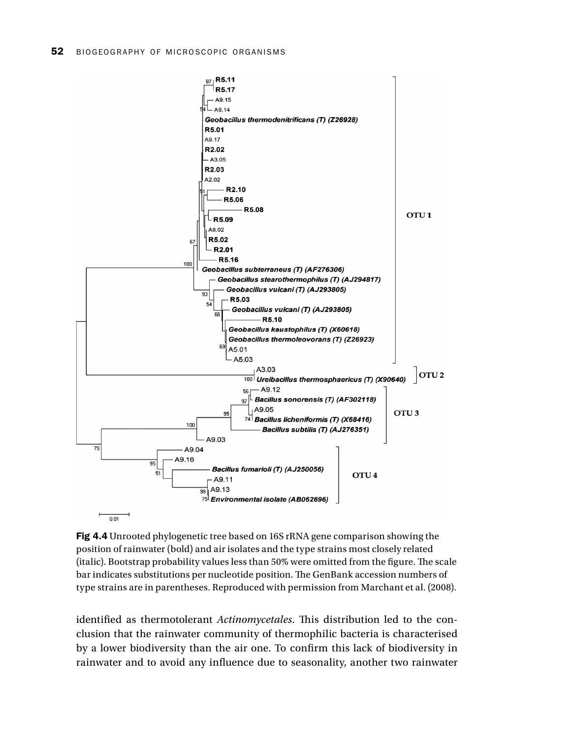

**Fig 4.4** Unrooted phylogenetic tree based on 16S rRNA gene comparison showing the position of rainwater (bold) and air isolates and the type strains most closely related (italic). Bootstrap probability values less than 50% were omitted from the figure. The scale bar indicates substitutions per nucleotide position. The GenBank accession numbers of type strains are in parentheses. Reproduced with permission from Marchant et al. (2008).

identified as thermotolerant *Actinomycetales*. This distribution led to the conclusion that the rainwater community of thermophilic bacteria is characterised by a lower biodiversity than the air one. To confirm this lack of biodiversity in rainwater and to avoid any influence due to seasonality, another two rainwater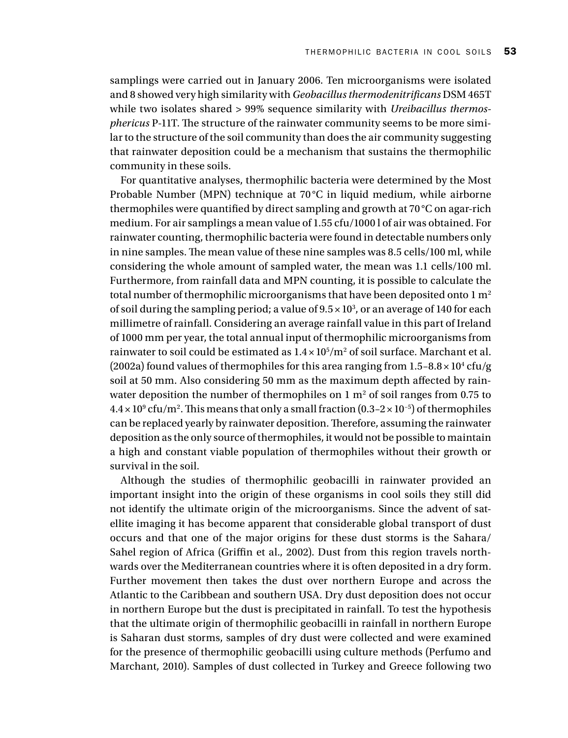samplings were carried out in January 2006. Ten microorganisms were isolated and 8 showed very high similarity with *Geobacillus thermodenitrifi cans* DSM 465T while two isolates shared > 99% sequence similarity with *Ureibacillus thermosphericus* P-11T. The structure of the rainwater community seems to be more similar to the structure of the soil community than does the air community suggesting that rainwater deposition could be a mechanism that sustains the thermophilic community in these soils.

 For quantitative analyses, thermophilic bacteria were determined by the Most Probable Number (MPN) technique at 70 °C in liquid medium, while airborne thermophiles were quantified by direct sampling and growth at  $70^{\circ}$ C on agar-rich medium. For air samplings a mean value of 1.55 cfu/1000 l of air was obtained. For rainwater counting, thermophilic bacteria were found in detectable numbers only in nine samples. The mean value of these nine samples was 8.5 cells/100 ml, while considering the whole amount of sampled water, the mean was 1.1 cells/100 ml. Furthermore, from rainfall data and MPN counting, it is possible to calculate the total number of thermophilic microorganisms that have been deposited onto  $1 \text{ m}^2$ of soil during the sampling period; a value of  $9.5 \times 10^3$ , or an average of 140 for each millimetre of rainfall. Considering an average rainfall value in this part of Ireland of 1000 mm per year, the total annual input of thermophilic microorganisms from rainwater to soil could be estimated as  $1.4 \times 10^5/\text{m}^2$  of soil surface. Marchant et al. (2002a) found values of thermophiles for this area ranging from  $1.5-8.8 \times 10^4$  cfu/g soil at 50 mm. Also considering 50 mm as the maximum depth affected by rainwater deposition the number of thermophiles on  $1 \text{ m}^2$  of soil ranges from 0.75 to  $4.4 \times 10^9$  cfu/m<sup>2</sup>. This means that only a small fraction (0.3-2  $\times$  10<sup>-5</sup>) of thermophiles can be replaced yearly by rainwater deposition. Therefore, assuming the rainwater deposition as the only source of thermophiles, it would not be possible to maintain a high and constant viable population of thermophiles without their growth or survival in the soil.

 Although the studies of thermophilic geobacilli in rainwater provided an important insight into the origin of these organisms in cool soils they still did not identify the ultimate origin of the microorganisms. Since the advent of satellite imaging it has become apparent that considerable global transport of dust occurs and that one of the major origins for these dust storms is the Sahara/ Sahel region of Africa (Griffin et al., 2002). Dust from this region travels northwards over the Mediterranean countries where it is often deposited in a dry form. Further movement then takes the dust over northern Europe and across the Atlantic to the Caribbean and southern USA. Dry dust deposition does not occur in northern Europe but the dust is precipitated in rainfall. To test the hypothesis that the ultimate origin of thermophilic geobacilli in rainfall in northern Europe is Saharan dust storms, samples of dry dust were collected and were examined for the presence of thermophilic geobacilli using culture methods (Perfumo and Marchant, 2010). Samples of dust collected in Turkey and Greece following two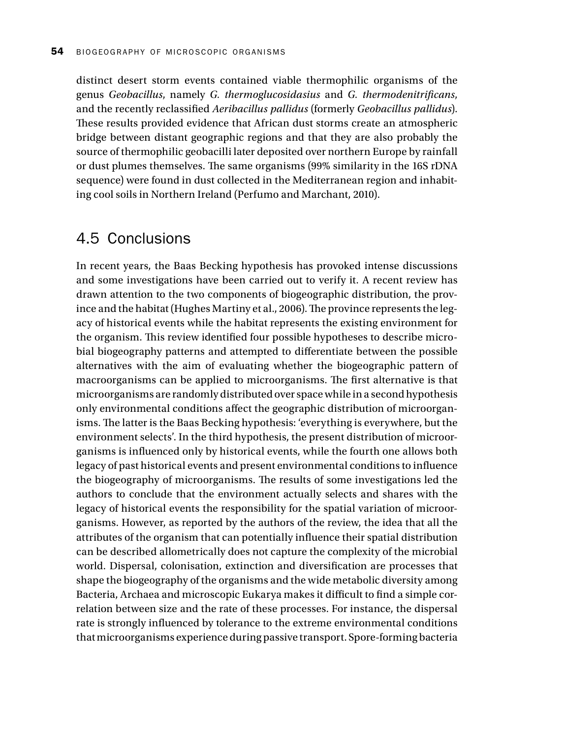distinct desert storm events contained viable thermophilic organisms of the genus *Geobacillus* , namely *G. thermoglucosidasius* and *G. thermodenitrifi cans* , and the recently reclassified *Aeribacillus pallidus* (formerly *Geobacillus pallidus*). These results provided evidence that African dust storms create an atmospheric bridge between distant geographic regions and that they are also probably the source of thermophilic geobacilli later deposited over northern Europe by rainfall or dust plumes themselves. The same organisms (99% similarity in the 16S rDNA sequence) were found in dust collected in the Mediterranean region and inhabiting cool soils in Northern Ireland (Perfumo and Marchant, 2010).

#### 4.5 Conclusions

 In recent years, the Baas Becking hypothesis has provoked intense discussions and some investigations have been carried out to verify it. A recent review has drawn attention to the two components of biogeographic distribution, the province and the habitat (Hughes Martiny et al., 2006). The province represents the legacy of historical events while the habitat represents the existing environment for the organism. This review identified four possible hypotheses to describe microbial biogeography patterns and attempted to differentiate between the possible alternatives with the aim of evaluating whether the biogeographic pattern of macroorganisms can be applied to microorganisms. The first alternative is that microorganisms are randomly distributed over space while in a second hypothesis only environmental conditions affect the geographic distribution of microorganisms. The latter is the Baas Becking hypothesis: 'everything is everywhere, but the environment selects'. In the third hypothesis, the present distribution of microorganisms is influenced only by historical events, while the fourth one allows both legacy of past historical events and present environmental conditions to influence the biogeography of microorganisms. The results of some investigations led the authors to conclude that the environment actually selects and shares with the legacy of historical events the responsibility for the spatial variation of microorganisms. However, as reported by the authors of the review, the idea that all the attributes of the organism that can potentially influence their spatial distribution can be described allometrically does not capture the complexity of the microbial world. Dispersal, colonisation, extinction and diversification are processes that shape the biogeography of the organisms and the wide metabolic diversity among Bacteria, Archaea and microscopic Eukarya makes it difficult to find a simple correlation between size and the rate of these processes. For instance, the dispersal rate is strongly influenced by tolerance to the extreme environmental conditions that microorganisms experience during passive transport. Spore-forming bacteria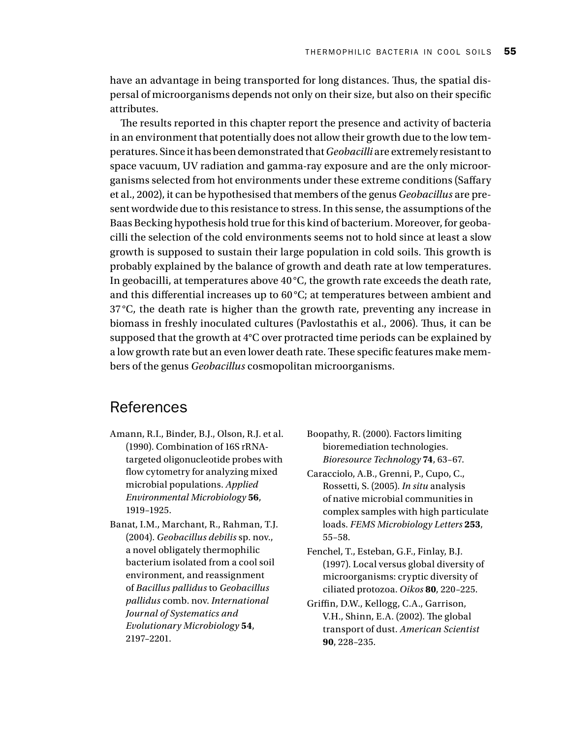have an advantage in being transported for long distances. Thus, the spatial dispersal of microorganisms depends not only on their size, but also on their specific attributes.

The results reported in this chapter report the presence and activity of bacteria in an environment that potentially does not allow their growth due to the low temperatures. Since it has been demonstrated that *Geobacilli* are extremely resistant to space vacuum, UV radiation and gamma-ray exposure and are the only microorganisms selected from hot environments under these extreme conditions (Saffary et al., 2002 ), it can be hypothesised that members of the genus *Geobacillus* are present wordwide due to this resistance to stress. In this sense, the assumptions of the Baas Becking hypothesis hold true for this kind of bacterium. Moreover, for geobacilli the selection of the cold environments seems not to hold since at least a slow growth is supposed to sustain their large population in cold soils. This growth is probably explained by the balance of growth and death rate at low temperatures. In geobacilli, at temperatures above 40 °C, the growth rate exceeds the death rate, and this differential increases up to  $60^{\circ}$ C; at temperatures between ambient and 37 °C, the death rate is higher than the growth rate, preventing any increase in biomass in freshly inoculated cultures (Pavlostathis et al., 2006). Thus, it can be supposed that the growth at 4°C over protracted time periods can be explained by a low growth rate but an even lower death rate. These specific features make members of the genus *Geobacillus* cosmopolitan microorganisms.

#### References

- Amann, R.I., Binder, B.J., Olson, R.J. et al. (1990). Combination of 16S rRNAtargeted oligonucleotide probes with flow cytometry for analyzing mixed microbial populations . *Applied Environmental Microbiology* **56** , 1919 –1925.
- Banat, I.M., Marchant, R., Rahman, T.J. ( 2004 ). *Geobacillus debilis* sp. nov., a novel obligately thermophilic bacterium isolated from a cool soil environment, and reassignment of *Bacillus pallidus* to *Geobacillus*   $pallidus$  comb. nov. *International Journal of Systematics and Evolutionary Microbiology* **54** , 2197 –2201.
- Boopathy, R. (2000). Factors limiting bioremediation technologies. *Bioresource Technology* **74** , 63 –67.
- Caracciolo, A.B., Grenni, P., Cupo, C., Rossetti, S. (2005). *In situ* analysis of native microbial communities in complex samples with high particulate loads . *FEMS Microbiology Letters* **253** , 55 –58.
- Fenchel, T., Esteban, G.F., Finlay, B.J. ( 1997 ). Local versus global diversity of microorganisms: cryptic diversity of ciliated protozoa. *Oikos* **80** , 220 –225.
- Griffin, D.W., Kellogg, C.A., Garrison, V.H., Shinn, E.A. (2002). The global transport of dust. *American Scientist* **90** , 228 –235.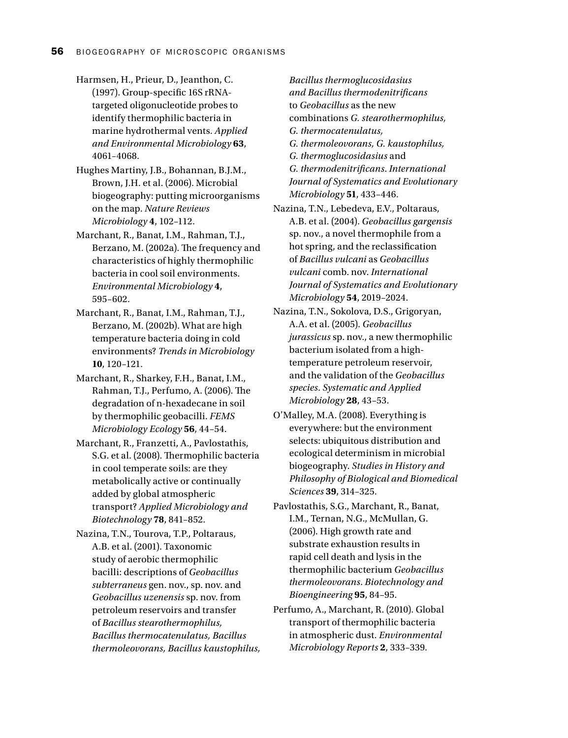- Harmsen, H., Prieur, D., Jeanthon, C.  $(1997)$ . Group-specific 16S rRNAtargeted oligonucleotide probes to identify thermophilic bacteria in marine hydrothermal vents. *Applied and Environmental Microbiology* **63** , 4061–4068.
- Hughes Martiny, J.B., Bohannan, B.J.M., Brown, J.H. et al. (2006). Microbial biogeography: putting microorganisms on the map. *Nature Reviews Microbiology* **4** , 102 –112.
- Marchant, R., Banat, I.M., Rahman, T.J., Berzano, M. (2002a). The frequency and characteristics of highly thermophilic bacteria in cool soil environments. *Environmental Microbiology* **4** , 595 –602.
- Marchant, R., Banat, I.M., Rahman, T.J., Berzano, M. (2002b). What are high temperature bacteria doing in cold environments? *Trends in Microbiology* **10** , 120 –121.
- Marchant, R., Sharkey, F.H., Banat, I.M., Rahman, T.J., Perfumo, A. (2006). The degradation of n-hexadecane in soil by thermophilic geobacilli. *FEMS Microbiology Ecology* **56** , 44 –54.
- Marchant, R., Franzetti, A., Pavlostathis, S.G. et al. (2008). Thermophilic bacteria in cool temperate soils: are they metabolically active or continually added by global atmospheric transport? *Applied Microbiology and Biotechnology* **78** , 841 –852.
- Nazina, T.N., Tourova, T.P., Poltaraus, A.B. et al. (2001). Taxonomic study of aerobic thermophilic bacilli: descriptions of *Geobacillus subterraneus* gen. nov., sp. nov. and *Geobacillus uzenensis* sp. nov. from petroleum reservoirs and transfer of *Bacillus stearothermophilus, Bacillus thermocatenulatus, Bacillus thermoleovorans, Bacillus kaustophilus,*

*Bacillus thermoglucosidasius and Bacillus thermodenitrifi cans* to *Geobacillus* as the new combinations *G. stearothermophilus, G. thermocatenulatus, G. thermoleovorans, G. kaustophilus, G. thermoglucosidasius* and *G. thermodenitrifi cans* . *International Journal of Systematics and Evolutionary Microbiology* **51** , 433 –446.

- Nazina, T.N., Lebedeva, E.V., Poltaraus, A.B. et al. ( 2004 ). *Geobacillus gargensis* sp. nov., a novel thermophile from a hot spring, and the reclassification of *Bacillus vulcani* as *Geobacillus vulcani* comb. nov . *International Journal of Systematics and Evolutionary Microbiology* **54** , 2019 –2024.
- Nazina, T.N., Sokolova, D.S., Grigoryan, A.A. et al. ( 2005 ). *Geobacillus jurassicus* sp. nov., a new thermophilic bacterium isolated from a hightemperature petroleum reservoir, and the validation of the *Geobacillus species* . *Systematic and Applied Microbiology* **28** , 43 –53.
- O'Malley, M.A. (2008). Everything is everywhere: but the environment selects: ubiquitous distribution and ecological determinism in microbial biogeography . *Studies in History and Philosophy of Biological and Biomedical Sciences* **39** , 314 –325.
- Pavlostathis, S.G., Marchant, R., Banat, I.M., Ternan, N.G., McMullan, G. (2006). High growth rate and substrate exhaustion results in rapid cell death and lysis in the thermophilic bacterium *Geobacillus thermoleovorans* . *Biotechnology and Bioengineering* **95** , 84 –95.
- Perfumo, A., Marchant, R. (2010). Global transport of thermophilic bacteria in atmospheric dust. *Environmental Microbiology Reports* **2** , 333 –339.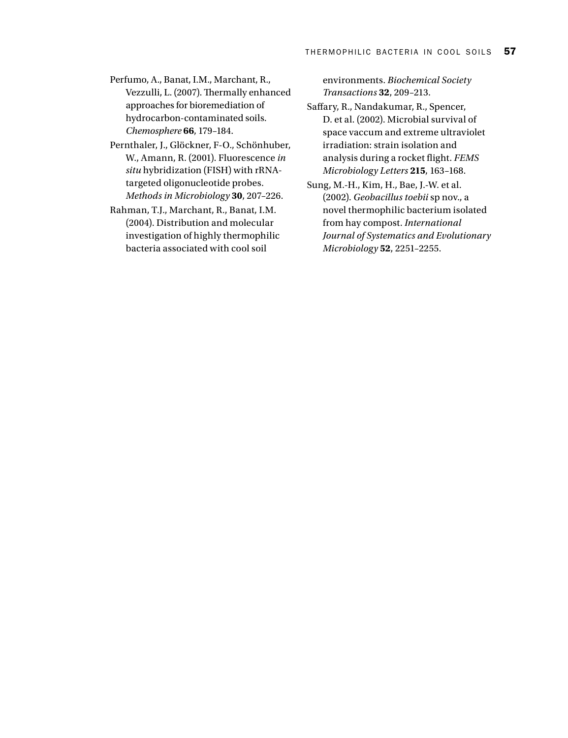- Perfumo, A., Banat, I.M., Marchant, R., Vezzulli, L. (2007). Thermally enhanced approaches for bioremediation of hydrocarbon-contaminated soils. *Chemosphere* **66** , 179 –184.
- Pernthaler, J., Glöckner, F-O., Schönhuber, W., Amann, R. (2001). Fluorescence in *situ* hybridization (FISH) with rRNAtargeted oligonucleotide probes . *Methods in Microbiology* **30** , 207 –226.
- Rahman, T.J., Marchant, R., Banat, I.M. (2004). Distribution and molecular investigation of highly thermophilic bacteria associated with cool soil

environments. *Biochemical Society Transactions* **32** , 209 –213.

- Saffary, R., Nandakumar, R., Spencer, D. et al. (2002). Microbial survival of space vaccum and extreme ultraviolet irradiation: strain isolation and analysis during a rocket flight. **FEMS** *Microbiology Letters* **215** , 163 –168.
- Sung, M.-H., Kim, H., Bae, J.-W. et al. ( 2002 ). *Geobacillus toebii* sp nov., a novel thermophilic bacterium isolated from hay compost. *International Journal of Systematics and Evolutionary Microbiology* **52** , 2251 –2255.